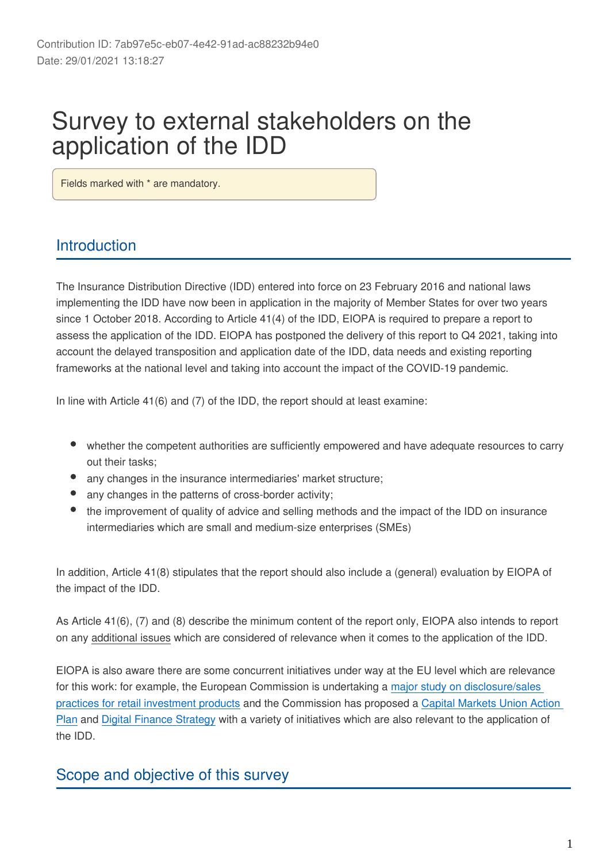# Survey to external stakeholders on the application of the IDD

Fields marked with \* are mandatory.

# Introduction

The Insurance Distribution Directive (IDD) entered into force on 23 February 2016 and national laws implementing the IDD have now been in application in the majority of Member States for over two years since 1 October 2018. According to Article 41(4) of the IDD, EIOPA is required to prepare a report to assess the application of the IDD. EIOPA has postponed the delivery of this report to Q4 2021, taking into account the delayed transposition and application date of the IDD, data needs and existing reporting frameworks at the national level and taking into account the impact of the COVID-19 pandemic.

In line with Article 41(6) and (7) of the IDD, the report should at least examine:

- whether the competent authorities are sufficiently empowered and have adequate resources to carry out their tasks;
- any changes in the insurance intermediaries' market structure;
- any changes in the patterns of cross-border activity;
- the improvement of quality of advice and selling methods and the impact of the IDD on insurance intermediaries which are small and medium-size enterprises (SMEs)

In addition, Article 41(8) stipulates that the report should also include a (general) evaluation by EIOPA of the impact of the IDD.

As Article 41(6), (7) and (8) describe the minimum content of the report only, EIOPA also intends to report on any additional issues which are considered of relevance when it comes to the application of the IDD.

EIOPA is also aware there are some concurrent initiatives under way at the EU level which are relevance for this work: for example, the European Commission is undertaking a [major study on disclosure/sales](https://ted.europa.eu/udl?uri=TED:NOTICE:428847-2020:TEXT:EN:HTML)  [practices for retail investment products](https://ted.europa.eu/udl?uri=TED:NOTICE:428847-2020:TEXT:EN:HTML) and the Commission has proposed a [Capital Markets Union Action](https://eur-lex.europa.eu/legal-content/EN/TXT/?uri=COM:2020:590:FIN)  [Plan](https://eur-lex.europa.eu/legal-content/EN/TXT/?uri=COM:2020:590:FIN) and [Digital Finance Strategy](https://eur-lex.europa.eu/legal-content/EN/TXT/?uri=CELEX:52020DC0591) with a variety of initiatives which are also relevant to the application of the IDD.

## Scope and objective of this survey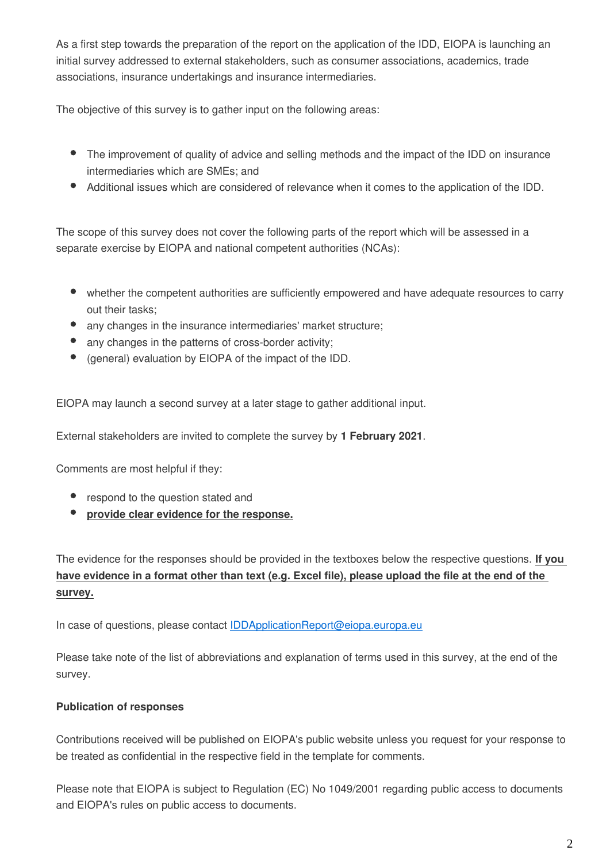As a first step towards the preparation of the report on the application of the IDD, EIOPA is launching an initial survey addressed to external stakeholders, such as consumer associations, academics, trade associations, insurance undertakings and insurance intermediaries.

The objective of this survey is to gather input on the following areas:

- The improvement of quality of advice and selling methods and the impact of the IDD on insurance intermediaries which are SMEs; and
- Additional issues which are considered of relevance when it comes to the application of the IDD.

The scope of this survey does not cover the following parts of the report which will be assessed in a separate exercise by EIOPA and national competent authorities (NCAs):

- whether the competent authorities are sufficiently empowered and have adequate resources to carry out their tasks;
- any changes in the insurance intermediaries' market structure;
- any changes in the patterns of cross-border activity;
- (general) evaluation by EIOPA of the impact of the IDD.  $\bullet$

EIOPA may launch a second survey at a later stage to gather additional input.

External stakeholders are invited to complete the survey by **1 February 2021**.

Comments are most helpful if they:

- respond to the question stated and
- **provide clear evidence for the response.**

The evidence for the responses should be provided in the textboxes below the respective questions. **If you have evidence in a format other than text (e.g. Excel file), please upload the file at the end of the survey.**

In case of questions, please contact IDDApplicationReport@eiopa.europa.eu

Please take note of the list of abbreviations and explanation of terms used in this survey, at the end of the survey.

#### **Publication of responses**

Contributions received will be published on EIOPA's public website unless you request for your response to be treated as confidential in the respective field in the template for comments.

Please note that EIOPA is subject to Regulation (EC) No 1049/2001 regarding public access to documents and EIOPA's rules on public access to documents.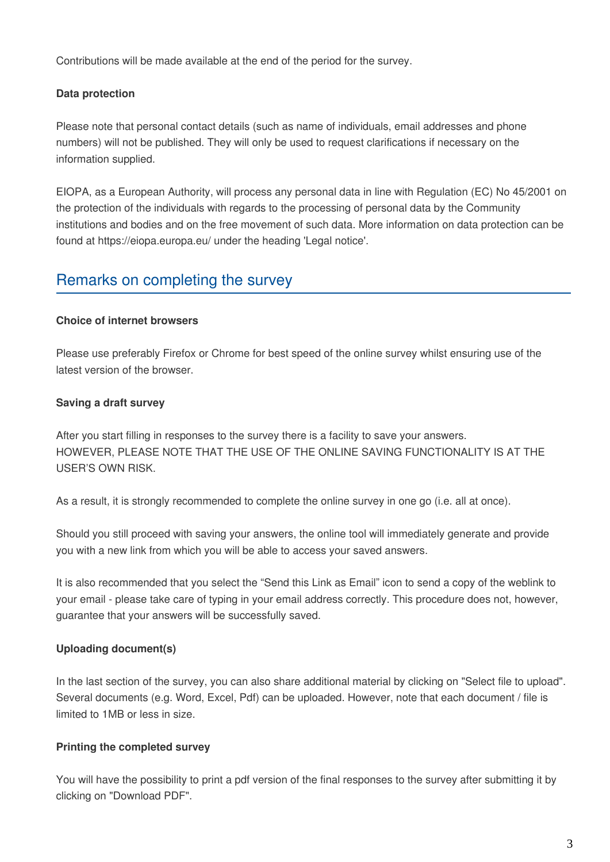Contributions will be made available at the end of the period for the survey.

#### **Data protection**

Please note that personal contact details (such as name of individuals, email addresses and phone numbers) will not be published. They will only be used to request clarifications if necessary on the information supplied.

EIOPA, as a European Authority, will process any personal data in line with Regulation (EC) No 45/2001 on the protection of the individuals with regards to the processing of personal data by the Community institutions and bodies and on the free movement of such data. More information on data protection can be found at https://eiopa.europa.eu/ under the heading 'Legal notice'.

# Remarks on completing the survey

#### **Choice of internet browsers**

Please use preferably Firefox or Chrome for best speed of the online survey whilst ensuring use of the latest version of the browser.

#### **Saving a draft survey**

After you start filling in responses to the survey there is a facility to save your answers. HOWEVER, PLEASE NOTE THAT THE USE OF THE ONLINE SAVING FUNCTIONALITY IS AT THE USER'S OWN RISK.

As a result, it is strongly recommended to complete the online survey in one go (i.e. all at once).

Should you still proceed with saving your answers, the online tool will immediately generate and provide you with a new link from which you will be able to access your saved answers.

It is also recommended that you select the "Send this Link as Email" icon to send a copy of the weblink to your email - please take care of typing in your email address correctly. This procedure does not, however, guarantee that your answers will be successfully saved.

#### **Uploading document(s)**

In the last section of the survey, you can also share additional material by clicking on "Select file to upload". Several documents (e.g. Word, Excel, Pdf) can be uploaded. However, note that each document / file is limited to 1MB or less in size.

#### **Printing the completed survey**

You will have the possibility to print a pdf version of the final responses to the survey after submitting it by clicking on "Download PDF".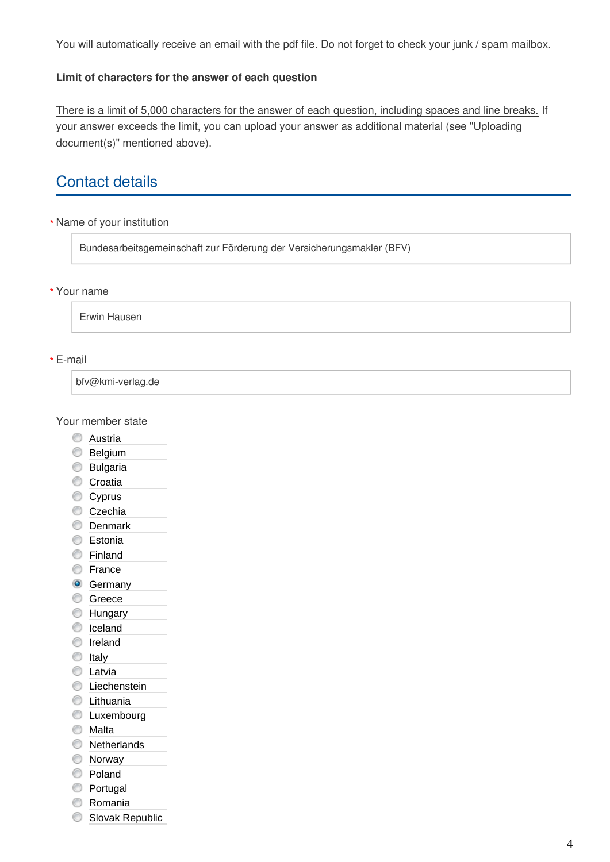You will automatically receive an email with the pdf file. Do not forget to check your junk / spam mailbox.

#### **Limit of characters for the answer of each question**

There is a limit of 5,000 characters for the answer of each question, including spaces and line breaks. If your answer exceeds the limit, you can upload your answer as additional material (see "Uploading document(s)" mentioned above).

# Contact details

Name of your institution **\***

Bundesarbeitsgemeinschaft zur Förderung der Versicherungsmakler (BFV)

#### Your name **\***

Erwin Hausen

#### E-mail **\***

bfv@kmi-verlag.de

Your member state

- C Austria
- **Belgium**
- **Bulgaria**
- Croatia
- Cyprus
- Czechia
- **Denmark**
- **Estonia**
- Finland
- **E**rance
- **G** Germany
- **Greece**
- **Hungary**
- C Iceland
- **O** Ireland
- 
- $\circ$  Italy
- **C** Latvia
- C Liechenstein
- **C** Lithuania
- **C** Luxembourg
- **Malta**
- **Netherlands**
- **Norway**
- C Poland
- **Portugal**
- **C** Romania
- Slovak Republic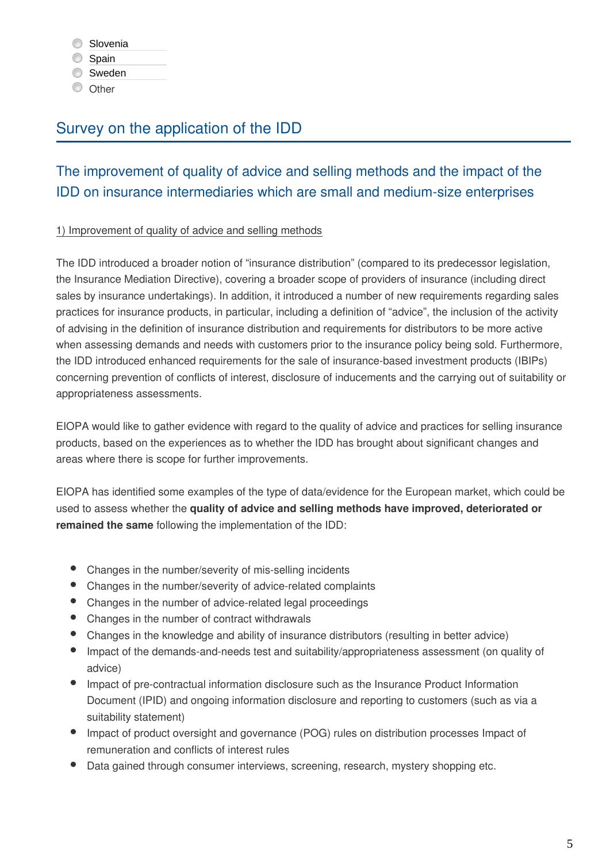Spain

**Sweden** 

**O** Other

# Survey on the application of the IDD

# The improvement of quality of advice and selling methods and the impact of the IDD on insurance intermediaries which are small and medium-size enterprises

#### 1) Improvement of quality of advice and selling methods

The IDD introduced a broader notion of "insurance distribution" (compared to its predecessor legislation, the Insurance Mediation Directive), covering a broader scope of providers of insurance (including direct sales by insurance undertakings). In addition, it introduced a number of new requirements regarding sales practices for insurance products, in particular, including a definition of "advice", the inclusion of the activity of advising in the definition of insurance distribution and requirements for distributors to be more active when assessing demands and needs with customers prior to the insurance policy being sold. Furthermore, the IDD introduced enhanced requirements for the sale of insurance-based investment products (IBIPs) concerning prevention of conflicts of interest, disclosure of inducements and the carrying out of suitability or appropriateness assessments.

EIOPA would like to gather evidence with regard to the quality of advice and practices for selling insurance products, based on the experiences as to whether the IDD has brought about significant changes and areas where there is scope for further improvements.

EIOPA has identified some examples of the type of data/evidence for the European market, which could be used to assess whether the **quality of advice and selling methods have improved, deteriorated or remained the same** following the implementation of the IDD:

- Changes in the number/severity of mis-selling incidents
- Changes in the number/severity of advice-related complaints
- Changes in the number of advice-related legal proceedings
- Changes in the number of contract withdrawals
- Changes in the knowledge and ability of insurance distributors (resulting in better advice)
- Impact of the demands-and-needs test and suitability/appropriateness assessment (on quality of advice)
- Impact of pre-contractual information disclosure such as the Insurance Product Information Document (IPID) and ongoing information disclosure and reporting to customers (such as via a suitability statement)
- Impact of product oversight and governance (POG) rules on distribution processes Impact of remuneration and conflicts of interest rules
- Data gained through consumer interviews, screening, research, mystery shopping etc.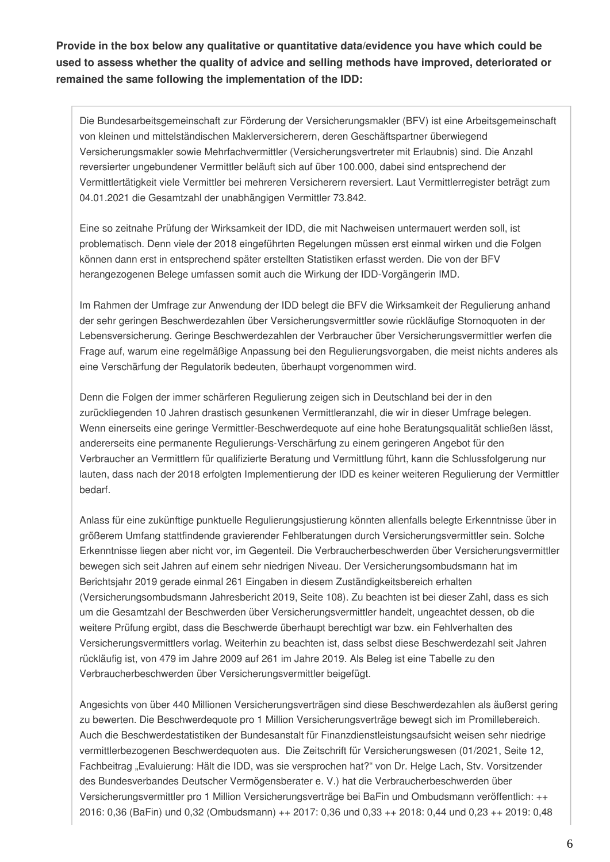**Provide in the box below any qualitative or quantitative data/evidence you have which could be used to assess whether the quality of advice and selling methods have improved, deteriorated or remained the same following the implementation of the IDD:**

Die Bundesarbeitsgemeinschaft zur Förderung der Versicherungsmakler (BFV) ist eine Arbeitsgemeinschaft von kleinen und mittelständischen Maklerversicherern, deren Geschäftspartner überwiegend Versicherungsmakler sowie Mehrfachvermittler (Versicherungsvertreter mit Erlaubnis) sind. Die Anzahl reversierter ungebundener Vermittler beläuft sich auf über 100.000, dabei sind entsprechend der Vermittlertätigkeit viele Vermittler bei mehreren Versicherern reversiert. Laut Vermittlerregister beträgt zum 04.01.2021 die Gesamtzahl der unabhängigen Vermittler 73.842.

Eine so zeitnahe Prüfung der Wirksamkeit der IDD, die mit Nachweisen untermauert werden soll, ist problematisch. Denn viele der 2018 eingeführten Regelungen müssen erst einmal wirken und die Folgen können dann erst in entsprechend später erstellten Statistiken erfasst werden. Die von der BFV herangezogenen Belege umfassen somit auch die Wirkung der IDD-Vorgängerin IMD.

Im Rahmen der Umfrage zur Anwendung der IDD belegt die BFV die Wirksamkeit der Regulierung anhand der sehr geringen Beschwerdezahlen über Versicherungsvermittler sowie rückläufige Stornoquoten in der Lebensversicherung. Geringe Beschwerdezahlen der Verbraucher über Versicherungsvermittler werfen die Frage auf, warum eine regelmäßige Anpassung bei den Regulierungsvorgaben, die meist nichts anderes als eine Verschärfung der Regulatorik bedeuten, überhaupt vorgenommen wird.

Denn die Folgen der immer schärferen Regulierung zeigen sich in Deutschland bei der in den zurückliegenden 10 Jahren drastisch gesunkenen Vermittleranzahl, die wir in dieser Umfrage belegen. Wenn einerseits eine geringe Vermittler-Beschwerdequote auf eine hohe Beratungsqualität schließen lässt, andererseits eine permanente Regulierungs-Verschärfung zu einem geringeren Angebot für den Verbraucher an Vermittlern für qualifizierte Beratung und Vermittlung führt, kann die Schlussfolgerung nur lauten, dass nach der 2018 erfolgten Implementierung der IDD es keiner weiteren Regulierung der Vermittler bedarf.

Anlass für eine zukünftige punktuelle Regulierungsjustierung könnten allenfalls belegte Erkenntnisse über in größerem Umfang stattfindende gravierender Fehlberatungen durch Versicherungsvermittler sein. Solche Erkenntnisse liegen aber nicht vor, im Gegenteil. Die Verbraucherbeschwerden über Versicherungsvermittler bewegen sich seit Jahren auf einem sehr niedrigen Niveau. Der Versicherungsombudsmann hat im Berichtsjahr 2019 gerade einmal 261 Eingaben in diesem Zuständigkeitsbereich erhalten (Versicherungsombudsmann Jahresbericht 2019, Seite 108). Zu beachten ist bei dieser Zahl, dass es sich um die Gesamtzahl der Beschwerden über Versicherungsvermittler handelt, ungeachtet dessen, ob die weitere Prüfung ergibt, dass die Beschwerde überhaupt berechtigt war bzw. ein Fehlverhalten des Versicherungsvermittlers vorlag. Weiterhin zu beachten ist, dass selbst diese Beschwerdezahl seit Jahren rückläufig ist, von 479 im Jahre 2009 auf 261 im Jahre 2019. Als Beleg ist eine Tabelle zu den Verbraucherbeschwerden über Versicherungsvermittler beigefügt.

Angesichts von über 440 Millionen Versicherungsverträgen sind diese Beschwerdezahlen als äußerst gering zu bewerten. Die Beschwerdequote pro 1 Million Versicherungsverträge bewegt sich im Promillebereich. Auch die Beschwerdestatistiken der Bundesanstalt für Finanzdienstleistungsaufsicht weisen sehr niedrige vermittlerbezogenen Beschwerdequoten aus. Die Zeitschrift für Versicherungswesen (01/2021, Seite 12, Fachbeitrag "Evaluierung: Hält die IDD, was sie versprochen hat?" von Dr. Helge Lach, Stv. Vorsitzender des Bundesverbandes Deutscher Vermögensberater e. V.) hat die Verbraucherbeschwerden über Versicherungsvermittler pro 1 Million Versicherungsverträge bei BaFin und Ombudsmann veröffentlich: ++ 2016: 0,36 (BaFin) und 0,32 (Ombudsmann) ++ 2017: 0,36 und 0,33 ++ 2018: 0,44 und 0,23 ++ 2019: 0,48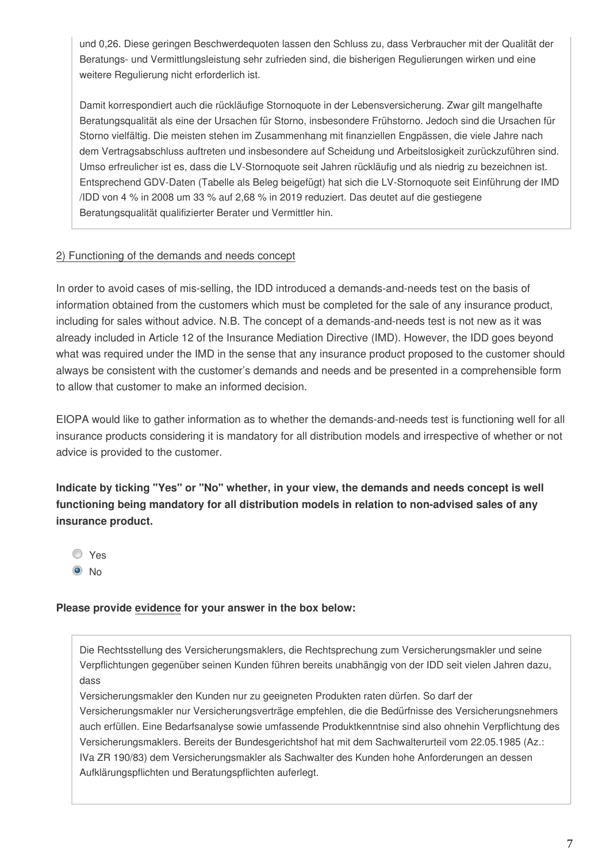und 0,26. Diese geringen Beschwerdequoten lassen den Schluss zu, dass Verbraucher mit der Qualität der Beratungs- und Vermittlungsleistung sehr zufrieden sind, die bisherigen Regulierungen wirken und eine weitere Regulierung nicht erforderlich ist.

Damit korrespondiert auch die rückläufige Stornoquote in der Lebensversicherung. Zwar gilt mangelhafte Beratungsqualität als eine der Ursachen für Storno, insbesondere Frühstorno. Jedoch sind die Ursachen für Storno vielfältig. Die meisten stehen im Zusammenhang mit finanziellen Engpässen, die viele Jahre nach dem Vertragsabschluss auftreten und insbesondere auf Scheidung und Arbeitslosigkeit zurückzuführen sind. Umso erfreulicher ist es, dass die LV-Stornoquote seit Jahren rückläufig und als niedrig zu bezeichnen ist. Entsprechend GDV-Daten (Tabelle als Beleg beigefügt) hat sich die LV-Stornoquote seit Einführung der IMD /IDD von 4 % in 2008 um 33 % auf 2,68 % in 2019 reduziert. Das deutet auf die gestiegene Beratungsqualität qualifizierter Berater und Vermittler hin.

#### 2) Functioning of the demands and needs concept

In order to avoid cases of mis-selling, the IDD introduced a demands-and-needs test on the basis of information obtained from the customers which must be completed for the sale of any insurance product, including for sales without advice. N.B. The concept of a demands-and-needs test is not new as it was already included in Article 12 of the Insurance Mediation Directive (IMD). However, the IDD goes beyond what was required under the IMD in the sense that any insurance product proposed to the customer should always be consistent with the customer's demands and needs and be presented in a comprehensible form to allow that customer to make an informed decision.

EIOPA would like to gather information as to whether the demands-and-needs test is functioning well for all insurance products considering it is mandatory for all distribution models and irrespective of whether or not advice is provided to the customer.

**Indicate by ticking "Yes" or "No" whether, in your view, the demands and needs concept is well functioning being mandatory for all distribution models in relation to non-advised sales of any insurance product.**

- Yes
- $\odot$  No

#### **Please provide evidence for your answer in the box below:**

Die Rechtsstellung des Versicherungsmaklers, die Rechtsprechung zum Versicherungsmakler und seine Verpflichtungen gegenüber seinen Kunden führen bereits unabhängig von der IDD seit vielen Jahren dazu, dass

Versicherungsmakler den Kunden nur zu geeigneten Produkten raten dürfen. So darf der Versicherungsmakler nur Versicherungsverträge empfehlen, die die Bedürfnisse des Versicherungsnehmers auch erfüllen. Eine Bedarfsanalyse sowie umfassende Produktkenntnise sind also ohnehin Verpflichtung des Versicherungsmaklers. Bereits der Bundesgerichtshof hat mit dem Sachwalterurteil vom 22.05.1985 (Az.: IVa ZR 190/83) dem Versicherungsmakler als Sachwalter des Kunden hohe Anforderungen an dessen Aufklärungspflichten und Beratungspflichten auferlegt.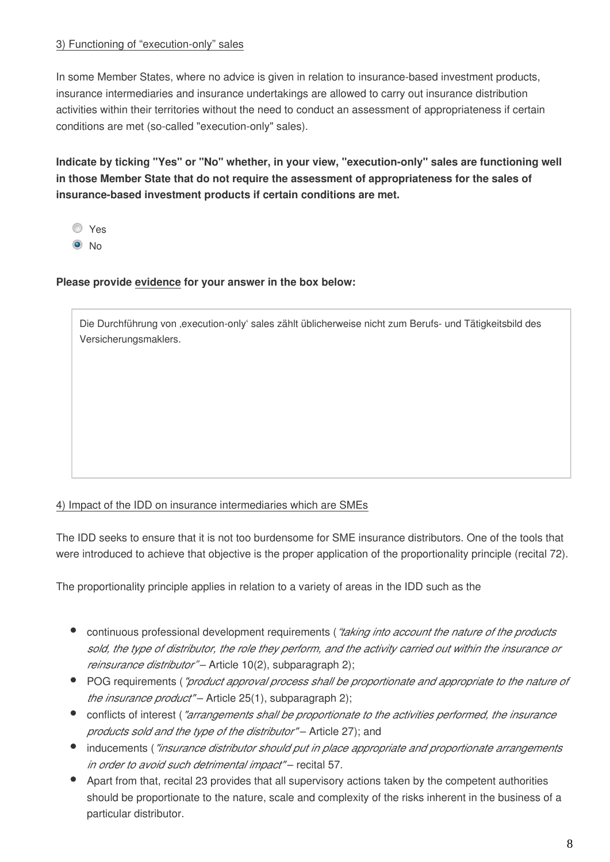#### 3) Functioning of "execution-only" sales

In some Member States, where no advice is given in relation to insurance-based investment products, insurance intermediaries and insurance undertakings are allowed to carry out insurance distribution activities within their territories without the need to conduct an assessment of appropriateness if certain conditions are met (so-called "execution-only" sales).

**Indicate by ticking "Yes" or "No" whether, in your view, "execution-only" sales are functioning well in those Member State that do not require the assessment of appropriateness for the sales of insurance-based investment products if certain conditions are met.**

Yes

 $\odot$  No

#### **Please provide evidence for your answer in the box below:**

Die Durchführung von ,execution-only' sales zählt üblicherweise nicht zum Berufs- und Tätigkeitsbild des Versicherungsmaklers.

#### 4) Impact of the IDD on insurance intermediaries which are SMEs

The IDD seeks to ensure that it is not too burdensome for SME insurance distributors. One of the tools that were introduced to achieve that objective is the proper application of the proportionality principle (recital 72).

The proportionality principle applies in relation to a variety of areas in the IDD such as the

- continuous professional development requirements (*"taking into account the nature of the products sold, the type of distributor, the role they perform, and the activity carried out within the insurance or reinsurance distributor"* – Article 10(2), subparagraph 2);
- POG requirements (*"product approval process shall be proportionate and appropriate to the nature of the insurance product"* – Article 25(1), subparagraph 2);
- conflicts of interest (*"arrangements shall be proportionate to the activities performed, the insurance products sold and the type of the distributor"* – Article 27); and
- inducements (*"insurance distributor should put in place appropriate and proportionate arrangements in order to avoid such detrimental impact"* – recital 57.
- Apart from that, recital 23 provides that all supervisory actions taken by the competent authorities should be proportionate to the nature, scale and complexity of the risks inherent in the business of a particular distributor.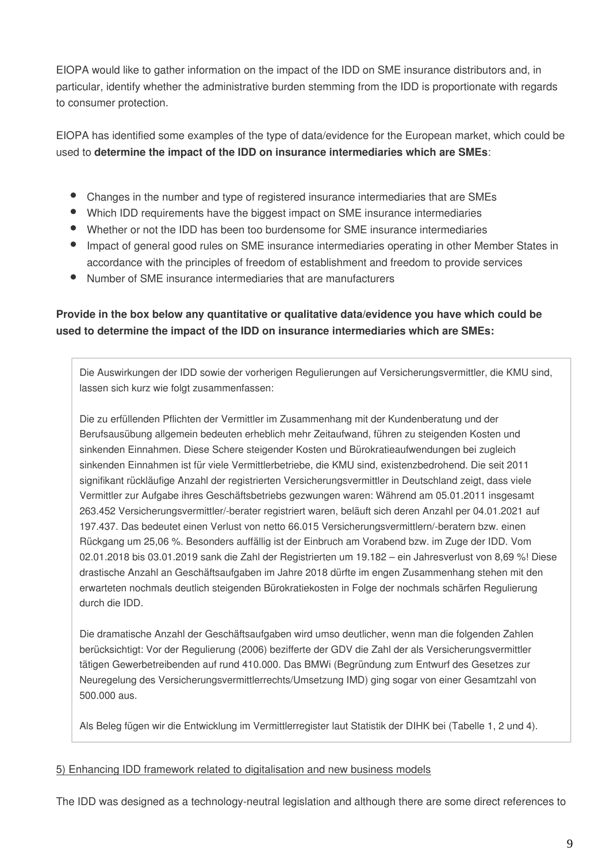EIOPA would like to gather information on the impact of the IDD on SME insurance distributors and, in particular, identify whether the administrative burden stemming from the IDD is proportionate with regards to consumer protection.

EIOPA has identified some examples of the type of data/evidence for the European market, which could be used to **determine the impact of the IDD on insurance intermediaries which are SMEs**:

- Changes in the number and type of registered insurance intermediaries that are SMEs
- Which IDD requirements have the biggest impact on SME insurance intermediaries
- Whether or not the IDD has been too burdensome for SME insurance intermediaries
- Impact of general good rules on SME insurance intermediaries operating in other Member States in accordance with the principles of freedom of establishment and freedom to provide services
- Number of SME insurance intermediaries that are manufacturers

#### **Provide in the box below any quantitative or qualitative data/evidence you have which could be used to determine the impact of the IDD on insurance intermediaries which are SMEs:**

Die Auswirkungen der IDD sowie der vorherigen Regulierungen auf Versicherungsvermittler, die KMU sind, lassen sich kurz wie folgt zusammenfassen:

Die zu erfüllenden Pflichten der Vermittler im Zusammenhang mit der Kundenberatung und der Berufsausübung allgemein bedeuten erheblich mehr Zeitaufwand, führen zu steigenden Kosten und sinkenden Einnahmen. Diese Schere steigender Kosten und Bürokratieaufwendungen bei zugleich sinkenden Einnahmen ist für viele Vermittlerbetriebe, die KMU sind, existenzbedrohend. Die seit 2011 signifikant rückläufige Anzahl der registrierten Versicherungsvermittler in Deutschland zeigt, dass viele Vermittler zur Aufgabe ihres Geschäftsbetriebs gezwungen waren: Während am 05.01.2011 insgesamt 263.452 Versicherungsvermittler/-berater registriert waren, beläuft sich deren Anzahl per 04.01.2021 auf 197.437. Das bedeutet einen Verlust von netto 66.015 Versicherungsvermittlern/-beratern bzw. einen Rückgang um 25,06 %. Besonders auffällig ist der Einbruch am Vorabend bzw. im Zuge der IDD. Vom 02.01.2018 bis 03.01.2019 sank die Zahl der Registrierten um 19.182 – ein Jahresverlust von 8,69 %! Diese drastische Anzahl an Geschäftsaufgaben im Jahre 2018 dürfte im engen Zusammenhang stehen mit den erwarteten nochmals deutlich steigenden Bürokratiekosten in Folge der nochmals schärfen Regulierung durch die IDD.

Die dramatische Anzahl der Geschäftsaufgaben wird umso deutlicher, wenn man die folgenden Zahlen berücksichtigt: Vor der Regulierung (2006) bezifferte der GDV die Zahl der als Versicherungsvermittler tätigen Gewerbetreibenden auf rund 410.000. Das BMWi (Begründung zum Entwurf des Gesetzes zur Neuregelung des Versicherungsvermittlerrechts/Umsetzung IMD) ging sogar von einer Gesamtzahl von 500.000 aus.

Als Beleg fügen wir die Entwicklung im Vermittlerregister laut Statistik der DIHK bei (Tabelle 1, 2 und 4).

#### 5) Enhancing IDD framework related to digitalisation and new business models

The IDD was designed as a technology-neutral legislation and although there are some direct references to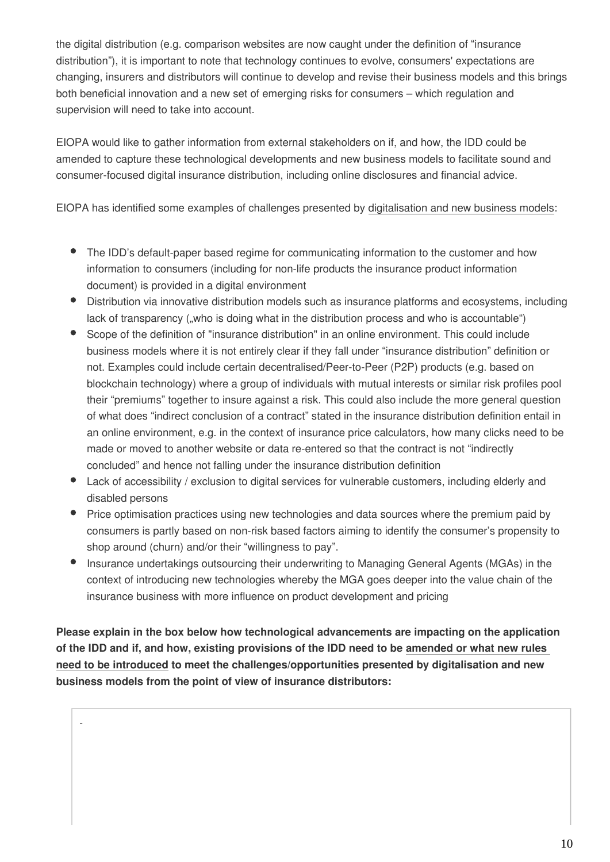the digital distribution (e.g. comparison websites are now caught under the definition of "insurance distribution"), it is important to note that technology continues to evolve, consumers' expectations are changing, insurers and distributors will continue to develop and revise their business models and this brings both beneficial innovation and a new set of emerging risks for consumers – which regulation and supervision will need to take into account.

EIOPA would like to gather information from external stakeholders on if, and how, the IDD could be amended to capture these technological developments and new business models to facilitate sound and consumer-focused digital insurance distribution, including online disclosures and financial advice.

EIOPA has identified some examples of challenges presented by digitalisation and new business models:

- The IDD's default-paper based regime for communicating information to the customer and how information to consumers (including for non-life products the insurance product information document) is provided in a digital environment
- Distribution via innovative distribution models such as insurance platforms and ecosystems, including lack of transparency ("who is doing what in the distribution process and who is accountable")
- Scope of the definition of "insurance distribution" in an online environment. This could include business models where it is not entirely clear if they fall under "insurance distribution" definition or not. Examples could include certain decentralised/Peer-to-Peer (P2P) products (e.g. based on blockchain technology) where a group of individuals with mutual interests or similar risk profiles pool their "premiums" together to insure against a risk. This could also include the more general question of what does "indirect conclusion of a contract" stated in the insurance distribution definition entail in an online environment, e.g. in the context of insurance price calculators, how many clicks need to be made or moved to another website or data re-entered so that the contract is not "indirectly concluded" and hence not falling under the insurance distribution definition
- Lack of accessibility / exclusion to digital services for vulnerable customers, including elderly and disabled persons
- Price optimisation practices using new technologies and data sources where the premium paid by consumers is partly based on non-risk based factors aiming to identify the consumer's propensity to shop around (churn) and/or their "willingness to pay".
- $\bullet$ Insurance undertakings outsourcing their underwriting to Managing General Agents (MGAs) in the context of introducing new technologies whereby the MGA goes deeper into the value chain of the insurance business with more influence on product development and pricing

**Please explain in the box below how technological advancements are impacting on the application of the IDD and if, and how, existing provisions of the IDD need to be amended or what new rules need to be introduced to meet the challenges/opportunities presented by digitalisation and new business models from the point of view of insurance distributors:**

-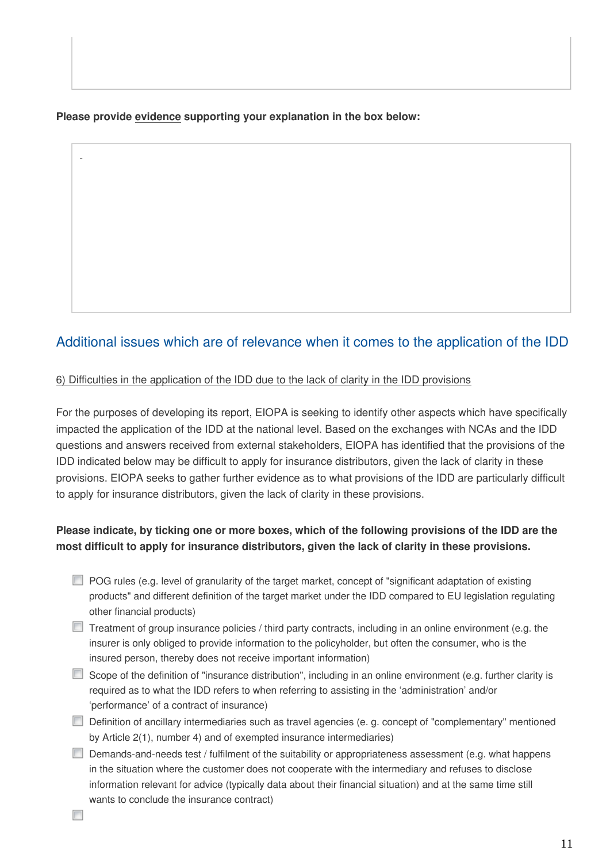#### **Please provide evidence supporting your explanation in the box below:**

### Additional issues which are of relevance when it comes to the application of the IDD

#### 6) Difficulties in the application of the IDD due to the lack of clarity in the IDD provisions

For the purposes of developing its report, EIOPA is seeking to identify other aspects which have specifically impacted the application of the IDD at the national level. Based on the exchanges with NCAs and the IDD questions and answers received from external stakeholders, EIOPA has identified that the provisions of the IDD indicated below may be difficult to apply for insurance distributors, given the lack of clarity in these provisions. EIOPA seeks to gather further evidence as to what provisions of the IDD are particularly difficult to apply for insurance distributors, given the lack of clarity in these provisions.

#### **Please indicate, by ticking one or more boxes, which of the following provisions of the IDD are the most difficult to apply for insurance distributors, given the lack of clarity in these provisions.**

- POG rules (e.g. level of granularity of the target market, concept of "significant adaptation of existing products" and different definition of the target market under the IDD compared to EU legislation regulating other financial products)
- $\Box$  Treatment of group insurance policies / third party contracts, including in an online environment (e.g. the insurer is only obliged to provide information to the policyholder, but often the consumer, who is the insured person, thereby does not receive important information)
- Scope of the definition of "insurance distribution", including in an online environment (e.g. further clarity is required as to what the IDD refers to when referring to assisting in the 'administration' and/or 'performance' of a contract of insurance)
- Definition of ancillary intermediaries such as travel agencies (e. g. concept of "complementary" mentioned by Article 2(1), number 4) and of exempted insurance intermediaries)
- Demands-and-needs test / fulfilment of the suitability or appropriateness assessment (e.g. what happens in the situation where the customer does not cooperate with the intermediary and refuses to disclose information relevant for advice (typically data about their financial situation) and at the same time still wants to conclude the insurance contract)

-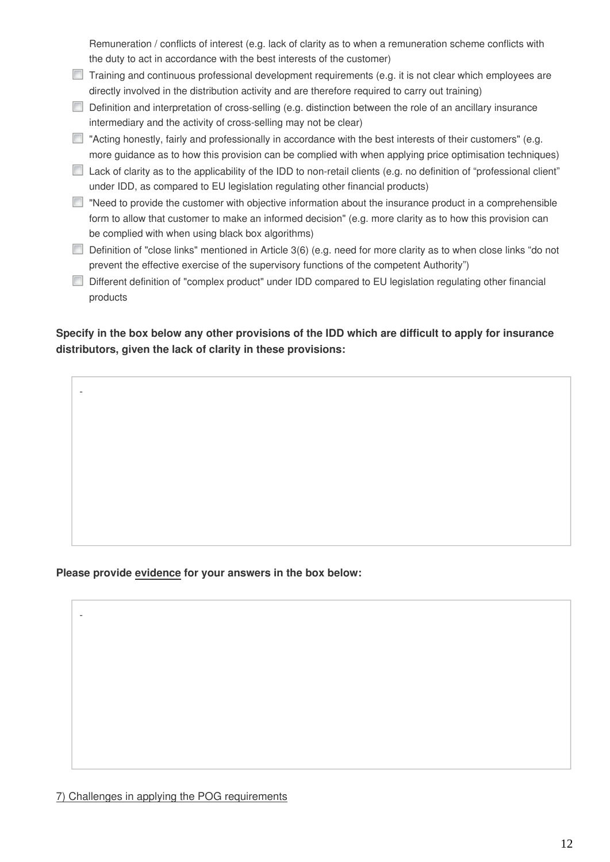Remuneration / conflicts of interest (e.g. lack of clarity as to when a remuneration scheme conflicts with the duty to act in accordance with the best interests of the customer)

- $\Box$  Training and continuous professional development requirements (e.g. it is not clear which employees are directly involved in the distribution activity and are therefore required to carry out training)
- Definition and interpretation of cross-selling (e.g. distinction between the role of an ancillary insurance intermediary and the activity of cross-selling may not be clear)
- $\Box$  "Acting honestly, fairly and professionally in accordance with the best interests of their customers" (e.g. more guidance as to how this provision can be complied with when applying price optimisation techniques)
- $\Box$  Lack of clarity as to the applicability of the IDD to non-retail clients (e.g. no definition of "professional client" under IDD, as compared to EU legislation regulating other financial products)
- $\Box$  "Need to provide the customer with objective information about the insurance product in a comprehensible form to allow that customer to make an informed decision" (e.g. more clarity as to how this provision can be complied with when using black box algorithms)
- Definition of "close links" mentioned in Article 3(6) (e.g. need for more clarity as to when close links "do not prevent the effective exercise of the supervisory functions of the competent Authority")
- Different definition of "complex product" under IDD compared to EU legislation regulating other financial products

#### **Specify in the box below any other provisions of the IDD which are difficult to apply for insurance distributors, given the lack of clarity in these provisions:**

#### **Please provide evidence for your answers in the box below:**

-

-

7) Challenges in applying the POG requirements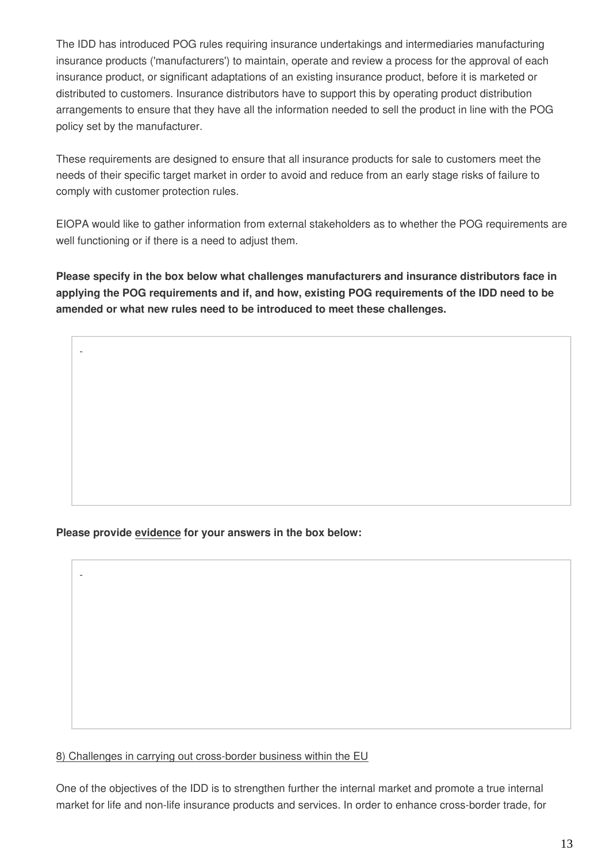The IDD has introduced POG rules requiring insurance undertakings and intermediaries manufacturing insurance products ('manufacturers') to maintain, operate and review a process for the approval of each insurance product, or significant adaptations of an existing insurance product, before it is marketed or distributed to customers. Insurance distributors have to support this by operating product distribution arrangements to ensure that they have all the information needed to sell the product in line with the POG policy set by the manufacturer.

These requirements are designed to ensure that all insurance products for sale to customers meet the needs of their specific target market in order to avoid and reduce from an early stage risks of failure to comply with customer protection rules.

EIOPA would like to gather information from external stakeholders as to whether the POG requirements are well functioning or if there is a need to adjust them.

**Please specify in the box below what challenges manufacturers and insurance distributors face in applying the POG requirements and if, and how, existing POG requirements of the IDD need to be amended or what new rules need to be introduced to meet these challenges.**

**Please provide evidence for your answers in the box below:**

-

-

8) Challenges in carrying out cross-border business within the EU

One of the objectives of the IDD is to strengthen further the internal market and promote a true internal market for life and non-life insurance products and services. In order to enhance cross-border trade, for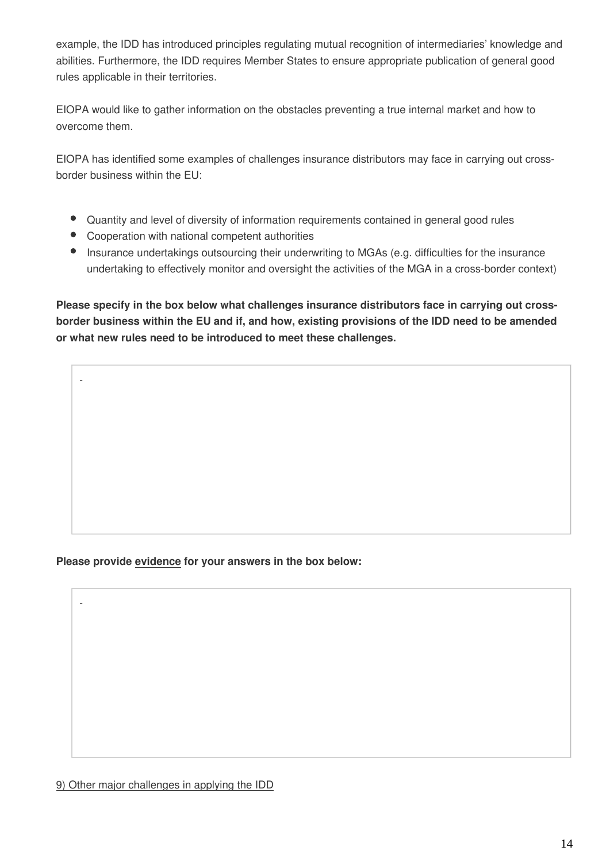example, the IDD has introduced principles regulating mutual recognition of intermediaries' knowledge and abilities. Furthermore, the IDD requires Member States to ensure appropriate publication of general good rules applicable in their territories.

EIOPA would like to gather information on the obstacles preventing a true internal market and how to overcome them.

EIOPA has identified some examples of challenges insurance distributors may face in carrying out crossborder business within the EU:

- Quantity and level of diversity of information requirements contained in general good rules
- Cooperation with national competent authorities

-

-

Insurance undertakings outsourcing their underwriting to MGAs (e.g. difficulties for the insurance undertaking to effectively monitor and oversight the activities of the MGA in a cross-border context)

**Please specify in the box below what challenges insurance distributors face in carrying out crossborder business within the EU and if, and how, existing provisions of the IDD need to be amended or what new rules need to be introduced to meet these challenges.**

#### **Please provide evidence for your answers in the box below:**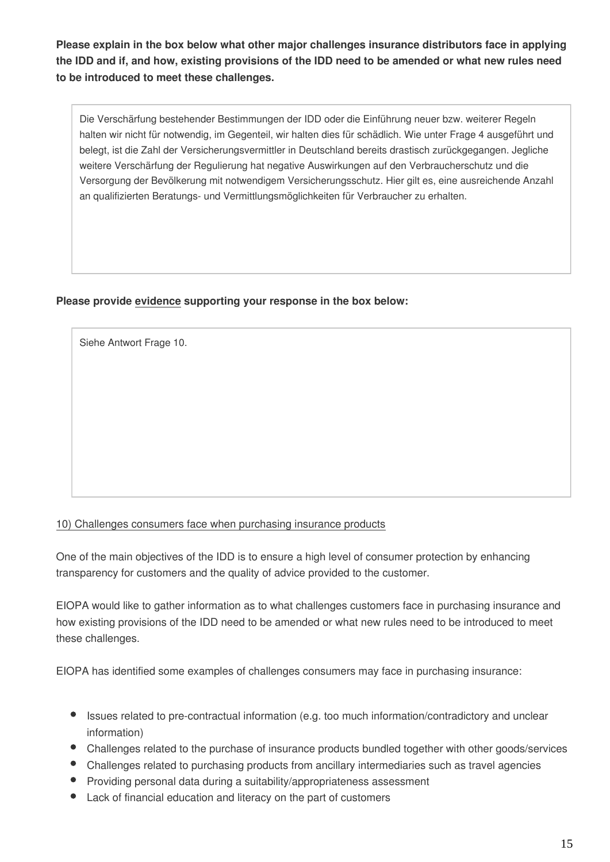**Please explain in the box below what other major challenges insurance distributors face in applying the IDD and if, and how, existing provisions of the IDD need to be amended or what new rules need to be introduced to meet these challenges.**

Die Verschärfung bestehender Bestimmungen der IDD oder die Einführung neuer bzw. weiterer Regeln halten wir nicht für notwendig, im Gegenteil, wir halten dies für schädlich. Wie unter Frage 4 ausgeführt und belegt, ist die Zahl der Versicherungsvermittler in Deutschland bereits drastisch zurückgegangen. Jegliche weitere Verschärfung der Regulierung hat negative Auswirkungen auf den Verbraucherschutz und die Versorgung der Bevölkerung mit notwendigem Versicherungsschutz. Hier gilt es, eine ausreichende Anzahl an qualifizierten Beratungs- und Vermittlungsmöglichkeiten für Verbraucher zu erhalten.

#### **Please provide evidence supporting your response in the box below:**

Siehe Antwort Frage 10.

#### 10) Challenges consumers face when purchasing insurance products

One of the main objectives of the IDD is to ensure a high level of consumer protection by enhancing transparency for customers and the quality of advice provided to the customer.

EIOPA would like to gather information as to what challenges customers face in purchasing insurance and how existing provisions of the IDD need to be amended or what new rules need to be introduced to meet these challenges.

EIOPA has identified some examples of challenges consumers may face in purchasing insurance:

- Issues related to pre-contractual information (e.g. too much information/contradictory and unclear information)
- Challenges related to the purchase of insurance products bundled together with other goods/services
- Challenges related to purchasing products from ancillary intermediaries such as travel agencies
- Providing personal data during a suitability/appropriateness assessment
- Lack of financial education and literacy on the part of customers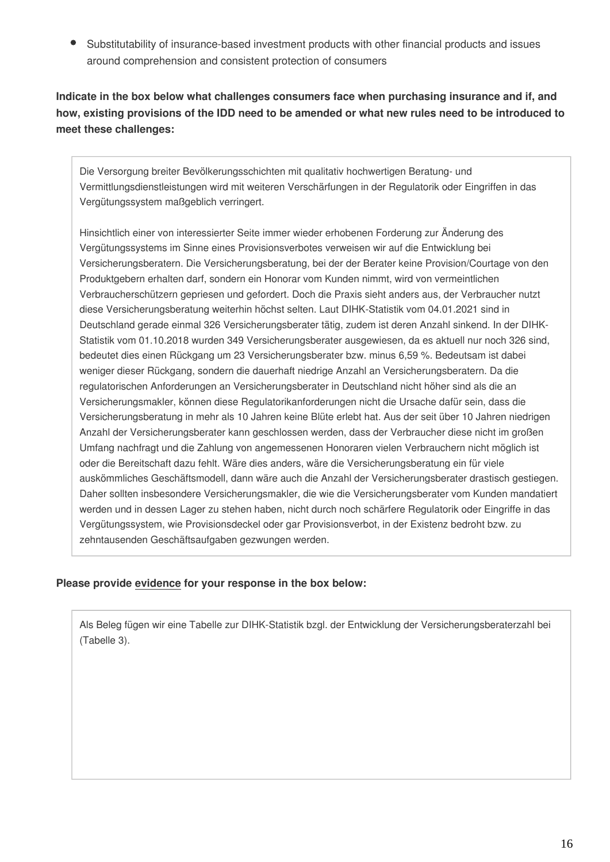Substitutability of insurance-based investment products with other financial products and issues around comprehension and consistent protection of consumers

**Indicate in the box below what challenges consumers face when purchasing insurance and if, and how, existing provisions of the IDD need to be amended or what new rules need to be introduced to meet these challenges:**

Die Versorgung breiter Bevölkerungsschichten mit qualitativ hochwertigen Beratung- und Vermittlungsdienstleistungen wird mit weiteren Verschärfungen in der Regulatorik oder Eingriffen in das Vergütungssystem maßgeblich verringert.

Hinsichtlich einer von interessierter Seite immer wieder erhobenen Forderung zur Änderung des Vergütungssystems im Sinne eines Provisionsverbotes verweisen wir auf die Entwicklung bei Versicherungsberatern. Die Versicherungsberatung, bei der der Berater keine Provision/Courtage von den Produktgebern erhalten darf, sondern ein Honorar vom Kunden nimmt, wird von vermeintlichen Verbraucherschützern gepriesen und gefordert. Doch die Praxis sieht anders aus, der Verbraucher nutzt diese Versicherungsberatung weiterhin höchst selten. Laut DIHK-Statistik vom 04.01.2021 sind in Deutschland gerade einmal 326 Versicherungsberater tätig, zudem ist deren Anzahl sinkend. In der DIHK-Statistik vom 01.10.2018 wurden 349 Versicherungsberater ausgewiesen, da es aktuell nur noch 326 sind, bedeutet dies einen Rückgang um 23 Versicherungsberater bzw. minus 6,59 %. Bedeutsam ist dabei weniger dieser Rückgang, sondern die dauerhaft niedrige Anzahl an Versicherungsberatern. Da die regulatorischen Anforderungen an Versicherungsberater in Deutschland nicht höher sind als die an Versicherungsmakler, können diese Regulatorikanforderungen nicht die Ursache dafür sein, dass die Versicherungsberatung in mehr als 10 Jahren keine Blüte erlebt hat. Aus der seit über 10 Jahren niedrigen Anzahl der Versicherungsberater kann geschlossen werden, dass der Verbraucher diese nicht im großen Umfang nachfragt und die Zahlung von angemessenen Honoraren vielen Verbrauchern nicht möglich ist oder die Bereitschaft dazu fehlt. Wäre dies anders, wäre die Versicherungsberatung ein für viele auskömmliches Geschäftsmodell, dann wäre auch die Anzahl der Versicherungsberater drastisch gestiegen. Daher sollten insbesondere Versicherungsmakler, die wie die Versicherungsberater vom Kunden mandatiert werden und in dessen Lager zu stehen haben, nicht durch noch schärfere Regulatorik oder Eingriffe in das Vergütungssystem, wie Provisionsdeckel oder gar Provisionsverbot, in der Existenz bedroht bzw. zu zehntausenden Geschäftsaufgaben gezwungen werden.

#### **Please provide evidence for your response in the box below:**

Als Beleg fügen wir eine Tabelle zur DIHK-Statistik bzgl. der Entwicklung der Versicherungsberaterzahl bei (Tabelle 3).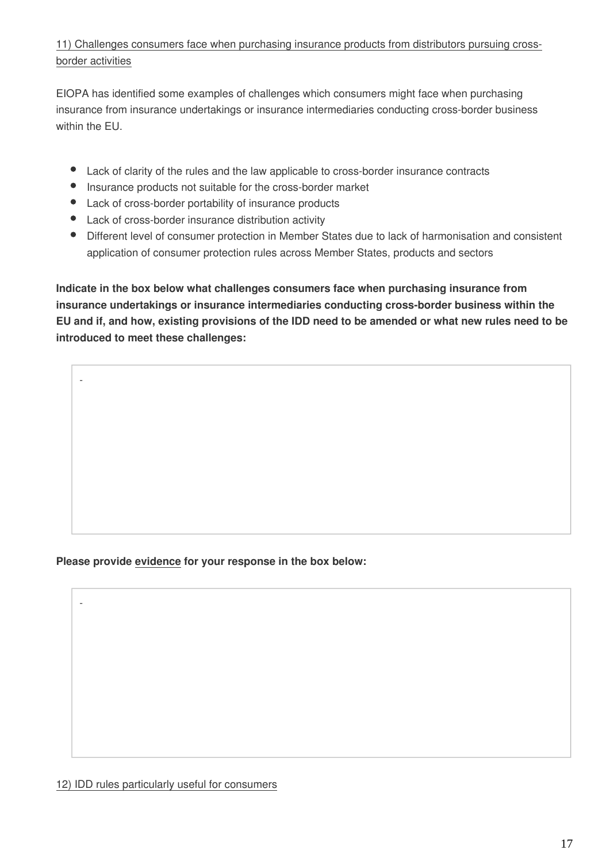#### 11) Challenges consumers face when purchasing insurance products from distributors pursuing crossborder activities

EIOPA has identified some examples of challenges which consumers might face when purchasing insurance from insurance undertakings or insurance intermediaries conducting cross-border business within the EU.

- Lack of clarity of the rules and the law applicable to cross-border insurance contracts
- $\bullet$ Insurance products not suitable for the cross-border market
- Lack of cross-border portability of insurance products
- Lack of cross-border insurance distribution activity

-

-

Different level of consumer protection in Member States due to lack of harmonisation and consistent application of consumer protection rules across Member States, products and sectors

**Indicate in the box below what challenges consumers face when purchasing insurance from insurance undertakings or insurance intermediaries conducting cross-border business within the EU and if, and how, existing provisions of the IDD need to be amended or what new rules need to be introduced to meet these challenges:**

**Please provide evidence for your response in the box below:**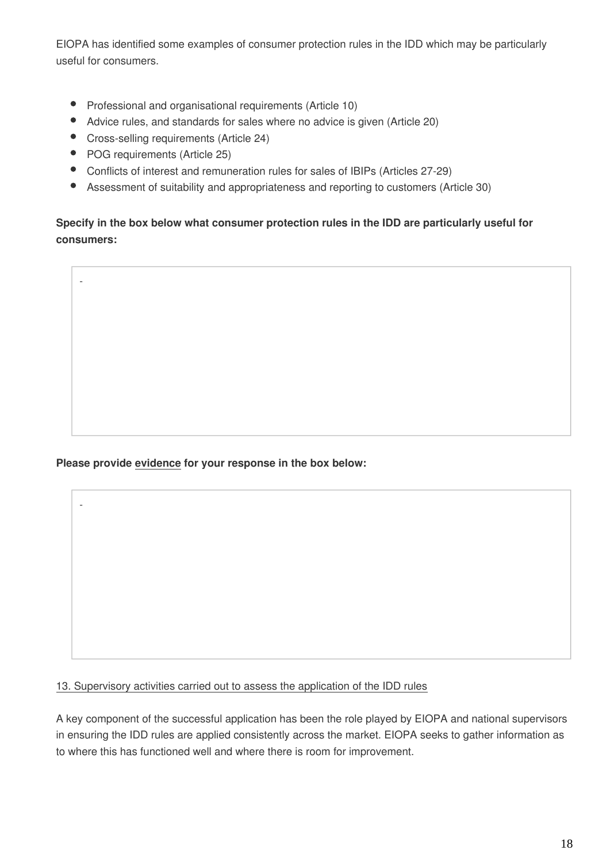EIOPA has identified some examples of consumer protection rules in the IDD which may be particularly useful for consumers.

- Professional and organisational requirements (Article 10)
- $\bullet$ Advice rules, and standards for sales where no advice is given (Article 20)
- Cross-selling requirements (Article 24)
- POG requirements (Article 25)

-

-

- Conflicts of interest and remuneration rules for sales of IBIPs (Articles 27-29)
- $\bullet$ Assessment of suitability and appropriateness and reporting to customers (Article 30)

**Specify in the box below what consumer protection rules in the IDD are particularly useful for consumers:**

**Please provide evidence for your response in the box below:**

13. Supervisory activities carried out to assess the application of the IDD rules

A key component of the successful application has been the role played by EIOPA and national supervisors in ensuring the IDD rules are applied consistently across the market. EIOPA seeks to gather information as to where this has functioned well and where there is room for improvement.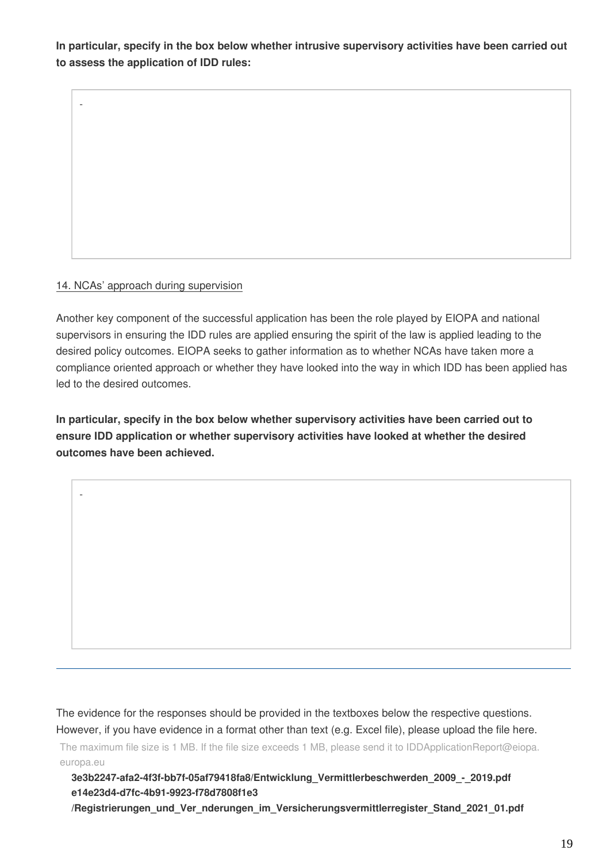**In particular, specify in the box below whether intrusive supervisory activities have been carried out to assess the application of IDD rules:**

#### 14. NCAs' approach during supervision

-

-

Another key component of the successful application has been the role played by EIOPA and national supervisors in ensuring the IDD rules are applied ensuring the spirit of the law is applied leading to the desired policy outcomes. EIOPA seeks to gather information as to whether NCAs have taken more a compliance oriented approach or whether they have looked into the way in which IDD has been applied has led to the desired outcomes.

**In particular, specify in the box below whether supervisory activities have been carried out to ensure IDD application or whether supervisory activities have looked at whether the desired outcomes have been achieved.**

The evidence for the responses should be provided in the textboxes below the respective questions.

However, if you have evidence in a format other than text (e.g. Excel file), please upload the file here.

The maximum file size is 1 MB. If the file size exceeds 1 MB, please send it to IDDApplicationReport@eiopa. europa.eu

**3e3b2247-afa2-4f3f-bb7f-05af79418fa8/Entwicklung\_Vermittlerbeschwerden\_2009\_-\_2019.pdf e14e23d4-d7fc-4b91-9923-f78d7808f1e3**

**/Registrierungen\_und\_Ver\_nderungen\_im\_Versicherungsvermittlerregister\_Stand\_2021\_01.pdf**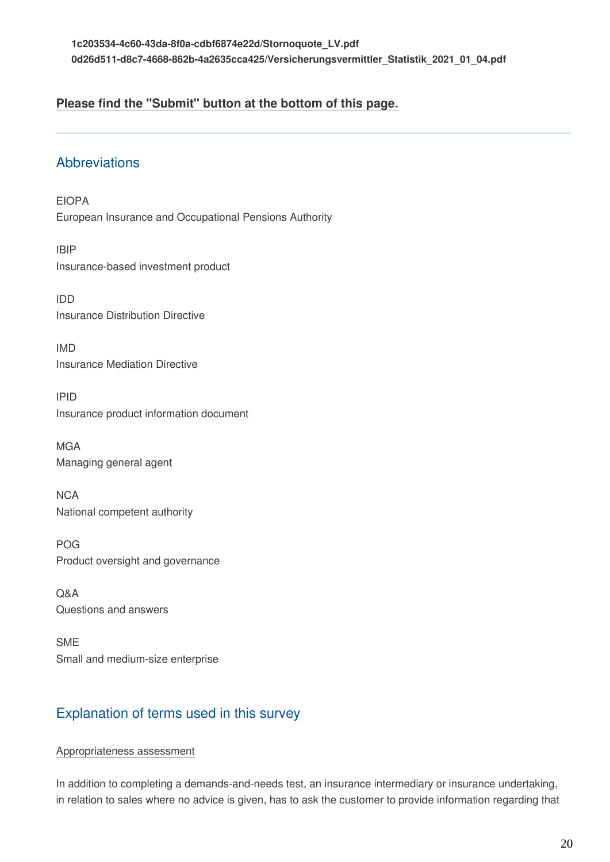### **Please find the "Submit" button at the bottom of this page.**

### **Abbreviations**

EIOPA European Insurance and Occupational Pensions Authority

IBIP Insurance-based investment product

IDD Insurance Distribution Directive

IMD Insurance Mediation Directive

IPID Insurance product information document

**MGA** Managing general agent

**NCA** National competent authority

POG Product oversight and governance

Q&A Questions and answers

SME Small and medium-size enterprise

## Explanation of terms used in this survey

#### Appropriateness assessment

In addition to completing a demands-and-needs test, an insurance intermediary or insurance undertaking, in relation to sales where no advice is given, has to ask the customer to provide information regarding that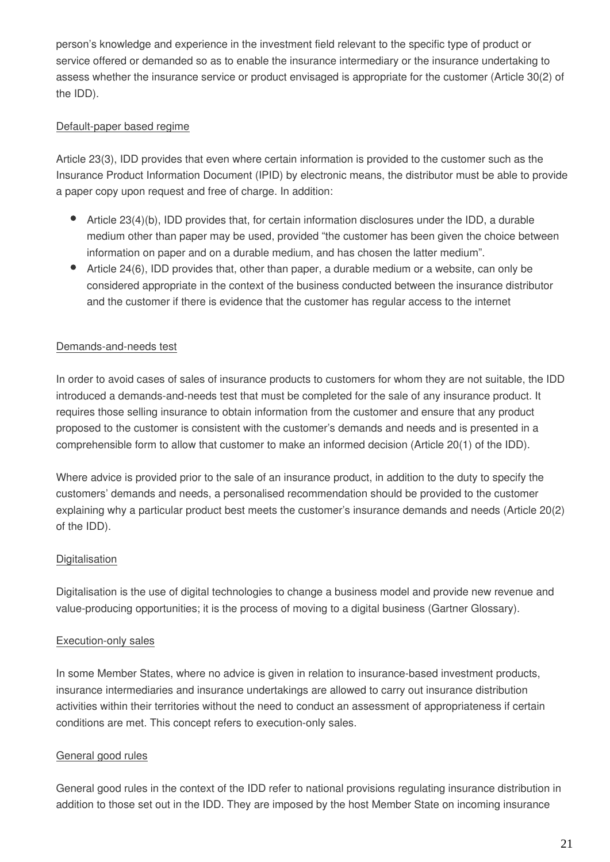person's knowledge and experience in the investment field relevant to the specific type of product or service offered or demanded so as to enable the insurance intermediary or the insurance undertaking to assess whether the insurance service or product envisaged is appropriate for the customer (Article 30(2) of the IDD).

#### Default-paper based regime

Article 23(3), IDD provides that even where certain information is provided to the customer such as the Insurance Product Information Document (IPID) by electronic means, the distributor must be able to provide a paper copy upon request and free of charge. In addition:

- Article 23(4)(b), IDD provides that, for certain information disclosures under the IDD, a durable medium other than paper may be used, provided "the customer has been given the choice between information on paper and on a durable medium, and has chosen the latter medium".
- Article 24(6), IDD provides that, other than paper, a durable medium or a website, can only be considered appropriate in the context of the business conducted between the insurance distributor and the customer if there is evidence that the customer has regular access to the internet

#### Demands-and-needs test

In order to avoid cases of sales of insurance products to customers for whom they are not suitable, the IDD introduced a demands-and-needs test that must be completed for the sale of any insurance product. It requires those selling insurance to obtain information from the customer and ensure that any product proposed to the customer is consistent with the customer's demands and needs and is presented in a comprehensible form to allow that customer to make an informed decision (Article 20(1) of the IDD).

Where advice is provided prior to the sale of an insurance product, in addition to the duty to specify the customers' demands and needs, a personalised recommendation should be provided to the customer explaining why a particular product best meets the customer's insurance demands and needs (Article 20(2) of the IDD).

#### **Digitalisation**

Digitalisation is the use of digital technologies to change a business model and provide new revenue and value-producing opportunities; it is the process of moving to a digital business (Gartner Glossary).

#### Execution-only sales

In some Member States, where no advice is given in relation to insurance-based investment products, insurance intermediaries and insurance undertakings are allowed to carry out insurance distribution activities within their territories without the need to conduct an assessment of appropriateness if certain conditions are met. This concept refers to execution-only sales.

#### General good rules

General good rules in the context of the IDD refer to national provisions regulating insurance distribution in addition to those set out in the IDD. They are imposed by the host Member State on incoming insurance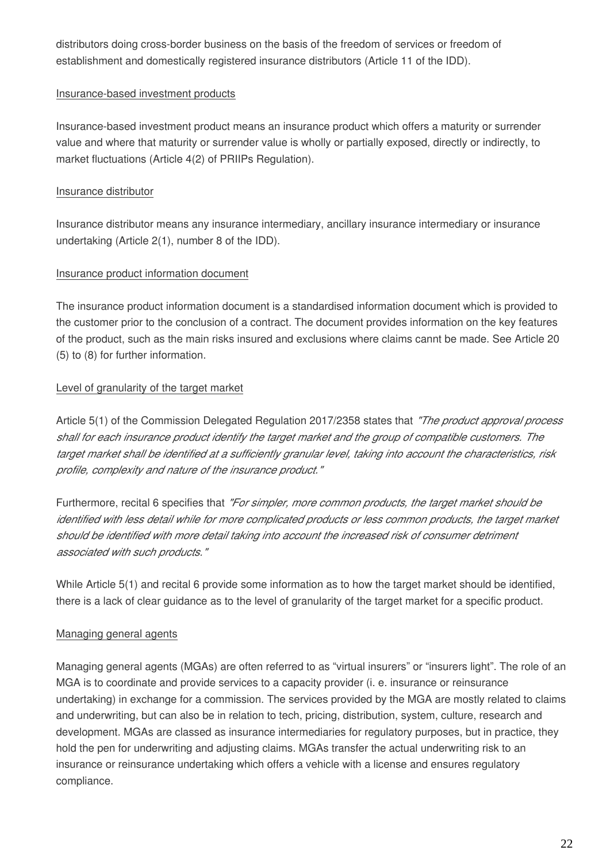distributors doing cross-border business on the basis of the freedom of services or freedom of establishment and domestically registered insurance distributors (Article 11 of the IDD).

#### Insurance-based investment products

Insurance-based investment product means an insurance product which offers a maturity or surrender value and where that maturity or surrender value is wholly or partially exposed, directly or indirectly, to market fluctuations (Article 4(2) of PRIIPs Regulation).

#### Insurance distributor

Insurance distributor means any insurance intermediary, ancillary insurance intermediary or insurance undertaking (Article 2(1), number 8 of the IDD).

#### Insurance product information document

The insurance product information document is a standardised information document which is provided to the customer prior to the conclusion of a contract. The document provides information on the key features of the product, such as the main risks insured and exclusions where claims cannt be made. See Article 20 (5) to (8) for further information.

#### Level of granularity of the target market

Article 5(1) of the Commission Delegated Regulation 2017/2358 states that *"The product approval process shall for each insurance product identify the target market and the group of compatible customers. The target market shall be identified at a sufficiently granular level, taking into account the characteristics, risk profile, complexity and nature of the insurance product."*

Furthermore, recital 6 specifies that *"For simpler, more common products, the target market should be*  identified with less detail while for more complicated products or less common products, the target market *should be identified with more detail taking into account the increased risk of consumer detriment associated with such products."*

While Article 5(1) and recital 6 provide some information as to how the target market should be identified, there is a lack of clear guidance as to the level of granularity of the target market for a specific product.

#### Managing general agents

Managing general agents (MGAs) are often referred to as "virtual insurers" or "insurers light". The role of an MGA is to coordinate and provide services to a capacity provider (i. e. insurance or reinsurance undertaking) in exchange for a commission. The services provided by the MGA are mostly related to claims and underwriting, but can also be in relation to tech, pricing, distribution, system, culture, research and development. MGAs are classed as insurance intermediaries for regulatory purposes, but in practice, they hold the pen for underwriting and adjusting claims. MGAs transfer the actual underwriting risk to an insurance or reinsurance undertaking which offers a vehicle with a license and ensures regulatory compliance.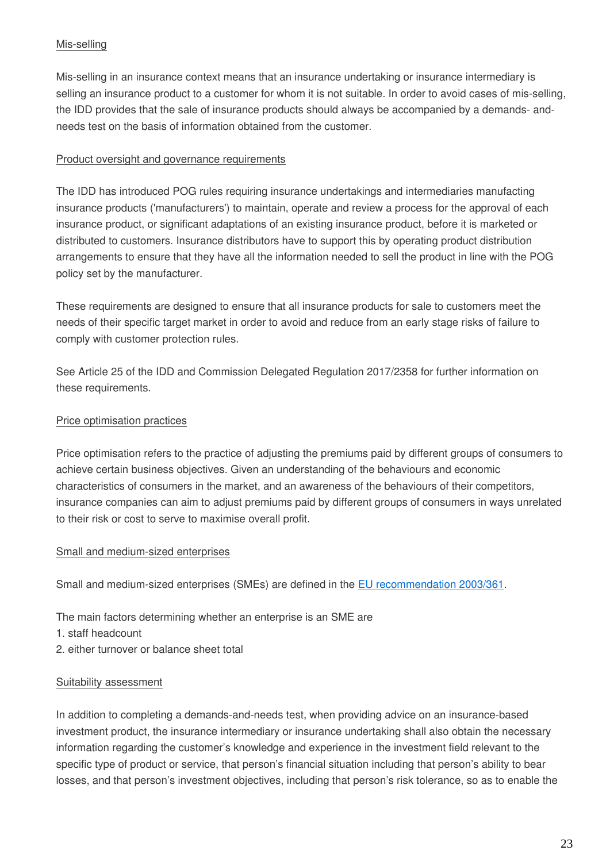#### Mis-selling

Mis-selling in an insurance context means that an insurance undertaking or insurance intermediary is selling an insurance product to a customer for whom it is not suitable. In order to avoid cases of mis-selling, the IDD provides that the sale of insurance products should always be accompanied by a demands- andneeds test on the basis of information obtained from the customer.

#### Product oversight and governance requirements

The IDD has introduced POG rules requiring insurance undertakings and intermediaries manufacting insurance products ('manufacturers') to maintain, operate and review a process for the approval of each insurance product, or significant adaptations of an existing insurance product, before it is marketed or distributed to customers. Insurance distributors have to support this by operating product distribution arrangements to ensure that they have all the information needed to sell the product in line with the POG policy set by the manufacturer.

These requirements are designed to ensure that all insurance products for sale to customers meet the needs of their specific target market in order to avoid and reduce from an early stage risks of failure to comply with customer protection rules.

See Article 25 of the IDD and Commission Delegated Regulation 2017/2358 for further information on these requirements.

#### Price optimisation practices

Price optimisation refers to the practice of adjusting the premiums paid by different groups of consumers to achieve certain business objectives. Given an understanding of the behaviours and economic characteristics of consumers in the market, and an awareness of the behaviours of their competitors, insurance companies can aim to adjust premiums paid by different groups of consumers in ways unrelated to their risk or cost to serve to maximise overall profit.

#### Small and medium-sized enterprises

Small and medium-sized enterprises (SMEs) are defined in the [EU recommendation 2003/361](http://eur-lex.europa.eu/legal-content/EN/TXT/?uri=CELEX:32003H0361&locale=en).

The main factors determining whether an enterprise is an SME are

- 1. staff headcount
- 2. either turnover or balance sheet total

#### Suitability assessment

In addition to completing a demands-and-needs test, when providing advice on an insurance-based investment product, the insurance intermediary or insurance undertaking shall also obtain the necessary information regarding the customer's knowledge and experience in the investment field relevant to the specific type of product or service, that person's financial situation including that person's ability to bear losses, and that person's investment objectives, including that person's risk tolerance, so as to enable the